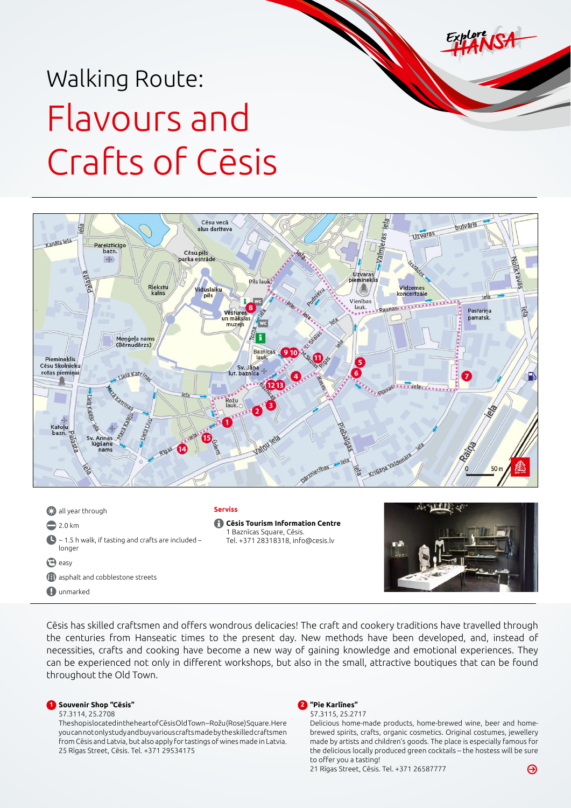# Walking Route: Flavours and Crafts of Cēsis



**C** all year through  $2.0 \text{ km}$  $\bigcirc$  ~ 1.5 h walk, if tasting and crafts are included – longer **e** easy **1** asphalt and cobblestone streets **O**unmarked **Serviss Cēsis Tourism Information Centre**  1 Baznīcas Square, Cēsis. Tel. +371 28318318, [info@cesis.lv](mailto:info@cesis.lv)



Cēsis has skilled craftsmen and offers wondrous delicacies! The craft and cookery traditions have travelled through the centuries from Hanseatic times to the present day. New methods have been developed, and, instead of necessities, crafts and cooking have become a new way of gaining knowledge and emotional experiences. They can be experienced not only in different workshops, but also in the small, attractive boutiques that can be found throughout the Old Town.

# **1 Souvenir Shop "Cēsis"**

57.3114, 25.2708

The shop is located in the heart of Cēsis Old Town – Rožu (Rose) Square. Here you can not only study and buy various crafts made by the skilled craftsmen from Cēsis and Latvia, but also apply for tastings of wines made in Latvia. 25 Rīgas Street, Cēsis. Tel. +371 29534175



57.3115, 25.2717

Delicious home-made products, home-brewed wine, beer and homebrewed spirits, crafts, organic cosmetics. Original costumes, jewellery made by artists and children's goods. The place is especially famous for the delicious locally produced green cocktails – the hostess will be sure to offer you a tasting!

21 Rīgas Street, Cēsis. Tel. +371 26587777